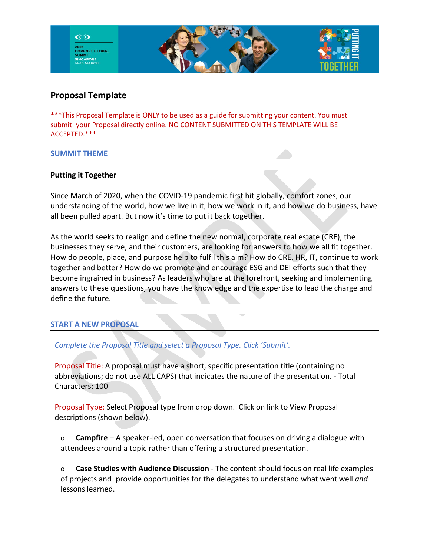

# **Proposal Template**

\*\*\*This Proposal Template is ONLY to be used as a guide for submitting your content. You must submit your Proposal directly online. NO CONTENT SUBMITTED ON THIS TEMPLATE WILL BE ACCEPTED.\*\*\*

#### **SUMMIT THEME**

# **Putting it Together**

Since March of 2020, when the COVID-19 pandemic first hit globally, comfort zones, our understanding of the world, how we live in it, how we work in it, and how we do business, have all been pulled apart. But now it's time to put it back together.

As the world seeks to realign and define the new normal, corporate real estate (CRE), the businesses they serve, and their customers, are looking for answers to how we all fit together. How do people, place, and purpose help to fulfil this aim? How do CRE, HR, IT, continue to work together and better? How do we promote and encourage ESG and DEI efforts such that they become ingrained in business? As leaders who are at the forefront, seeking and implementing answers to these questions, you have the knowledge and the expertise to lead the charge and define the future.

# **START A NEW PROPOSAL**

*Complete the Proposal Title and select a Proposal Type. Click 'Submit'.*

Proposal Title: A proposal must have a short, specific presentation title (containing no abbreviations; do not use ALL CAPS) that indicates the nature of the presentation. - Total Characters: 100

Proposal Type: Select Proposal type from drop down. Click on link to View Proposal descriptions (shown below).

o **Campfire** – A speaker-led, open conversation that focuses on driving a dialogue with attendees around a topic rather than offering a structured presentation.

o **Case Studies with Audience Discussion** - The content should focus on real life examples of projects and provide opportunities for the delegates to understand what went well *and* lessons learned.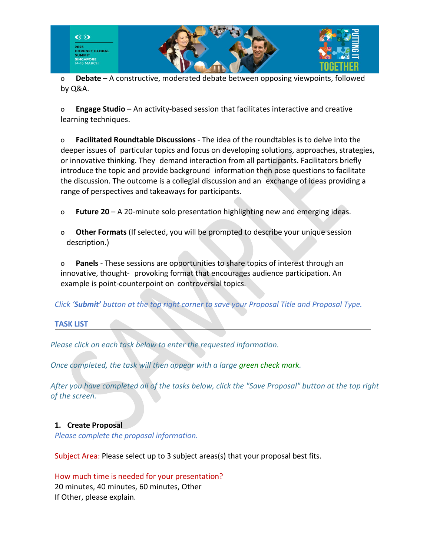

o **Debate** – A constructive, moderated debate between opposing viewpoints, followed by Q&A.

o **Engage Studio** – An activity-based session that facilitates interactive and creative learning techniques.

o **Facilitated Roundtable Discussions** - The idea of the roundtables is to delve into the deeper issues of particular topics and focus on developing solutions, approaches, strategies, or innovative thinking. They demand interaction from all participants. Facilitators briefly introduce the topic and provide background information then pose questions to facilitate the discussion. The outcome is a collegial discussion and an exchange of ideas providing a range of perspectives and takeaways for participants.

- o **Future 20** A 20-minute solo presentation highlighting new and emerging ideas.
- o **Other Formats** (If selected, you will be prompted to describe your unique session description.)

o **Panels** - These sessions are opportunities to share topics of interest through an innovative, thought- provoking format that encourages audience participation. An example is point-counterpoint on controversial topics.

*Click 'Submit' button at the top right corner to save your Proposal Title and Proposal Type.*

# **TASK LIST**

*Please click on each task below to enter the requested information.* 

*Once completed, the task will then appear with a large green check mark.* 

*After you have completed all of the tasks below, click the "Save Proposal" button at the top right of the screen.*

# **1. Create Proposal**

*Please complete the proposal information.*

Subject Area: Please select up to 3 subject areas(s) that your proposal best fits.

# How much time is needed for your presentation? 20 minutes, 40 minutes, 60 minutes, Other If Other, please explain.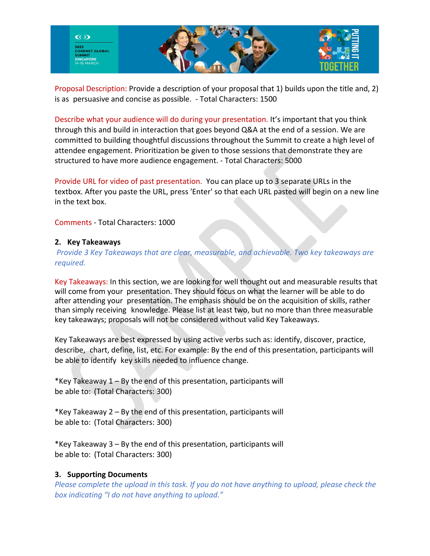

Proposal Description: Provide a description of your proposal that 1) builds upon the title and, 2) is as persuasive and concise as possible. - Total Characters: 1500

Describe what your audience will do during your presentation. It's important that you think through this and build in interaction that goes beyond Q&A at the end of a session. We are committed to building thoughtful discussions throughout the Summit to create a high level of attendee engagement. Prioritization be given to those sessions that demonstrate they are structured to have more audience engagement. - Total Characters: 5000

Provide URL for video of past presentation. You can place up to 3 separate URLs in the textbox. After you paste the URL, press 'Enter' so that each URL pasted will begin on a new line in the text box.

Comments - Total Characters: 1000

#### **2. Key Takeaways**

*Provide 3 Key Takeaways that are clear, measurable, and achievable. Two key takeaways are required.*

Key Takeaways: In this section, we are looking for well thought out and measurable results that will come from your presentation. They should focus on what the learner will be able to do after attending your presentation. The emphasis should be on the acquisition of skills, rather than simply receiving knowledge. Please list at least two, but no more than three measurable key takeaways; proposals will not be considered without valid Key Takeaways.

Key Takeaways are best expressed by using active verbs such as: identify, discover, practice, describe, chart, define, list, etc. For example: By the end of this presentation, participants will be able to identify key skills needed to influence change.

\*Key Takeaway 1 – By the end of this presentation, participants will be able to: (Total Characters: 300)

\*Key Takeaway 2 – By the end of this presentation, participants will be able to: (Total Characters: 300)

\*Key Takeaway 3 – By the end of this presentation, participants will be able to: (Total Characters: 300)

# **3. Supporting Documents**

*Please complete the upload in this task. If you do not have anything to upload, please check the box indicating "I do not have anything to upload."*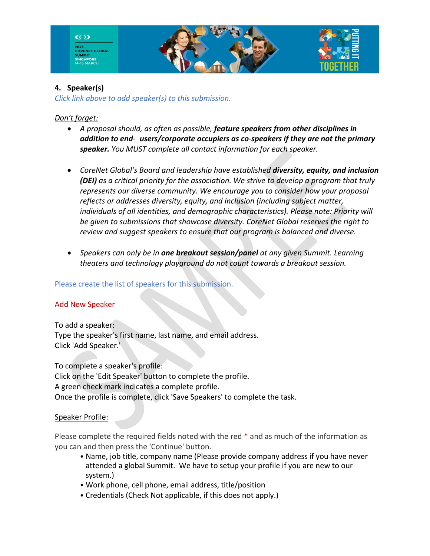

# **4. Speaker(s)**

*Click link above to add speaker(s) to this submission.*

# *Don't forget:*

- *A proposal should, as often as possible, feature speakers from other disciplines in addition to end- users/corporate occupiers as co-speakers if they are not the primary speaker. You MUST complete all contact information for each speaker.*
- *CoreNet Global's Board and leadership have established diversity, equity, and inclusion (DEI) as a critical priority for the association. We strive to develop a program that truly represents our diverse community. We encourage you to consider how your proposal reflects or addresses diversity, equity, and inclusion (including subject matter, individuals of all identities, and demographic characteristics). Please note: Priority will be given to submissions that showcase diversity. CoreNet Global reserves the right to review and suggest speakers to ensure that our program is balanced and diverse.*
- *Speakers can only be in one breakout session/panel at any given Summit. Learning theaters and technology playground do not count towards a breakout session.*

# Please create the list of speakers for this submission.

# Add New Speaker

To add a speaker:

Type the speaker's first name, last name, and email address. Click 'Add Speaker.'

To complete a speaker's profile:

Click on the 'Edit Speaker' button to complete the profile. A green check mark indicates a complete profile. Once the profile is complete, click 'Save Speakers' to complete the task.

# Speaker Profile:

Please complete the required fields noted with the red \* and as much of the information as you can and then press the 'Continue' button.

- Name, job title, company name (Please provide company address if you have never attended a global Summit. We have to setup your profile if you are new to our system.)
- Work phone, cell phone, email address, title/position
- Credentials (Check Not applicable, if this does not apply.)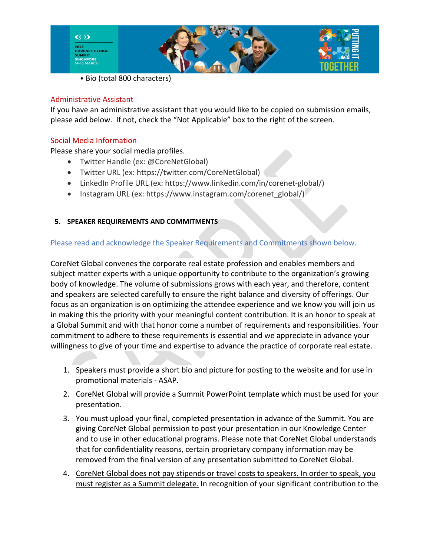

• Bio (total 800 characters)

### Administrative Assistant

If you have an administrative assistant that you would like to be copied on submission emails, please add below. If not, check the "Not Applicable" box to the right of the screen.

# Social Media Information

Please share your social media profiles.

- Twitter Handle (ex: @CoreNetGlobal)
- Twitter URL (ex: https://twitter.com/CoreNetGlobal)
- LinkedIn Profile URL (ex: https://www.linkedin.com/in/corenet-global/)
- Instagram URL (ex: https://www.instagram.com/corenet\_global/)

# **5. SPEAKER REQUIREMENTS AND COMMITMENTS**

# Please read and acknowledge the Speaker Requirements and Commitments shown below.

CoreNet Global convenes the corporate real estate profession and enables members and subject matter experts with a unique opportunity to contribute to the organization's growing body of knowledge. The volume of submissions grows with each year, and therefore, content and speakers are selected carefully to ensure the right balance and diversity of offerings. Our focus as an organization is on optimizing the attendee experience and we know you will join us in making this the priority with your meaningful content contribution. It is an honor to speak at a Global Summit and with that honor come a number of requirements and responsibilities. Your commitment to adhere to these requirements is essential and we appreciate in advance your willingness to give of your time and expertise to advance the practice of corporate real estate.

- 1. Speakers must provide a short bio and picture for posting to the website and for use in promotional materials - ASAP.
- 2. CoreNet Global will provide a Summit PowerPoint template which must be used for your presentation.
- 3. You must upload your final, completed presentation in advance of the Summit. You are giving CoreNet Global permission to post your presentation in our Knowledge Center and to use in other educational programs. Please note that CoreNet Global understands that for confidentiality reasons, certain proprietary company information may be removed from the final version of any presentation submitted to CoreNet Global.
- 4. CoreNet Global does not pay stipends or travel costs to speakers. In order to speak, you must register as a Summit delegate. In recognition of your significant contribution to the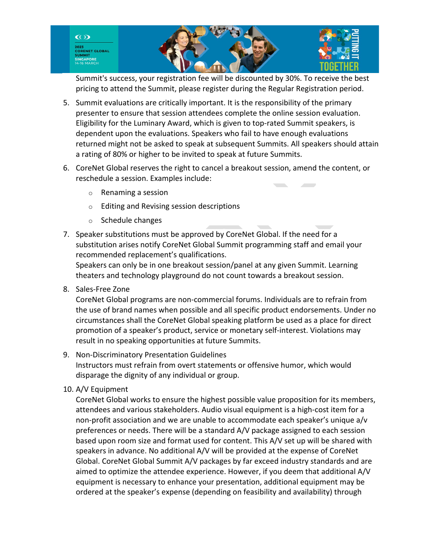

Summit's success, your registration fee will be discounted by 30%. To receive the best pricing to attend the Summit, please register during the Regular Registration period.

- 5. Summit evaluations are critically important. It is the responsibility of the primary presenter to ensure that session attendees complete the online session evaluation. Eligibility for the Luminary Award, which is given to top-rated Summit speakers, is dependent upon the evaluations. Speakers who fail to have enough evaluations returned might not be asked to speak at subsequent Summits. All speakers should attain a rating of 80% or higher to be invited to speak at future Summits.
- 6. CoreNet Global reserves the right to cancel a breakout session, amend the content, or reschedule a session. Examples include:
	- o Renaming a session
	- o Editing and Revising session descriptions
	- o Schedule changes
- 7. Speaker substitutions must be approved by CoreNet Global. If the need for a substitution arises notify CoreNet Global Summit programming staff and email your recommended replacement's qualifications.

Speakers can only be in one breakout session/panel at any given Summit. Learning theaters and technology playground do not count towards a breakout session.

8. Sales-Free Zone

CoreNet Global programs are non-commercial forums. Individuals are to refrain from the use of brand names when possible and all specific product endorsements. Under no circumstances shall the CoreNet Global speaking platform be used as a place for direct promotion of a speaker's product, service or monetary self-interest. Violations may result in no speaking opportunities at future Summits.

- 9. Non-Discriminatory Presentation Guidelines Instructors must refrain from overt statements or offensive humor, which would disparage the dignity of any individual or group.
- 10. A/V Equipment

CoreNet Global works to ensure the highest possible value proposition for its members, attendees and various stakeholders. Audio visual equipment is a high-cost item for a non-profit association and we are unable to accommodate each speaker's unique a/v preferences or needs. There will be a standard A/V package assigned to each session based upon room size and format used for content. This A/V set up will be shared with speakers in advance. No additional A/V will be provided at the expense of CoreNet Global. CoreNet Global Summit A/V packages by far exceed industry standards and are aimed to optimize the attendee experience. However, if you deem that additional A/V equipment is necessary to enhance your presentation, additional equipment may be ordered at the speaker's expense (depending on feasibility and availability) through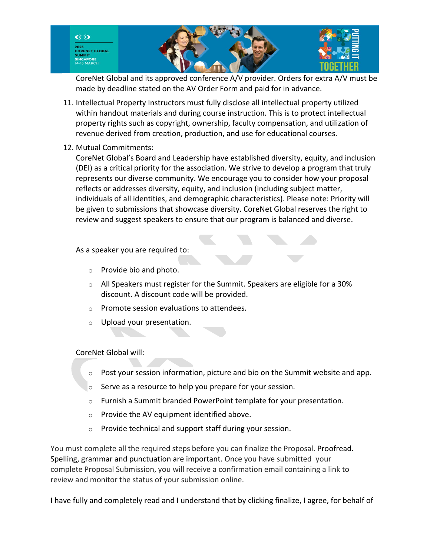

CoreNet Global and its approved conference A/V provider. Orders for extra A/V must be made by deadline stated on the AV Order Form and paid for in advance.

- 11. Intellectual Property Instructors must fully disclose all intellectual property utilized within handout materials and during course instruction. This is to protect intellectual property rights such as copyright, ownership, faculty compensation, and utilization of revenue derived from creation, production, and use for educational courses.
- 12. Mutual Commitments:

CoreNet Global's Board and Leadership have established diversity, equity, and inclusion (DEI) as a critical priority for the association. We strive to develop a program that truly represents our diverse community. We encourage you to consider how your proposal reflects or addresses diversity, equity, and inclusion (including subject matter, individuals of all identities, and demographic characteristics). Please note: Priority will be given to submissions that showcase diversity. CoreNet Global reserves the right to review and suggest speakers to ensure that our program is balanced and diverse.

As a speaker you are required to:

- o Provide bio and photo.
- o All Speakers must register for the Summit. Speakers are eligible for a 30% discount. A discount code will be provided.
- o Promote session evaluations to attendees.
- o Upload your presentation.

# CoreNet Global will:

- $\circ$  Post your session information, picture and bio on the Summit website and app.
- o Serve as a resource to help you prepare for your session.
- $\circ$  Furnish a Summit branded PowerPoint template for your presentation.
- o Provide the AV equipment identified above.
- o Provide technical and support staff during your session.

You must complete all the required steps before you can finalize the Proposal. Proofread. Spelling, grammar and punctuation are important. Once you have submitted your complete Proposal Submission, you will receive a confirmation email containing a link to review and monitor the status of your submission online.

I have fully and completely read and I understand that by clicking finalize, I agree, for behalf of